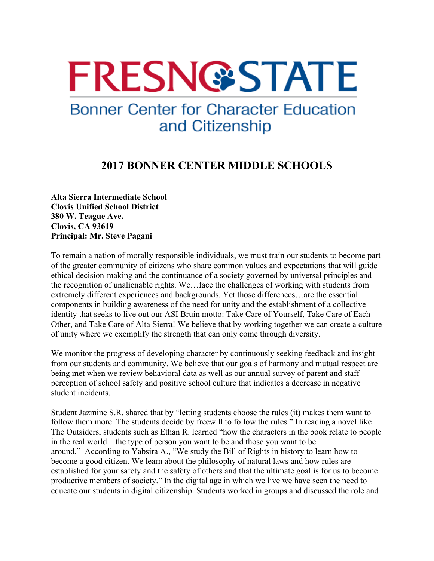## **FRESNGSTATE**

## **Bonner Center for Character Education** and Citizenship

## **2017 BONNER CENTER MIDDLE SCHOOLS**

**Alta Sierra Intermediate School Clovis Unified School District 380 W. Teague Ave. Clovis, CA 93619 Principal: Mr. Steve Pagani**

To remain a nation of morally responsible individuals, we must train our students to become part of the greater community of citizens who share common values and expectations that will guide ethical decision-making and the continuance of a society governed by universal principles and the recognition of unalienable rights. We…face the challenges of working with students from extremely different experiences and backgrounds. Yet those differences…are the essential components in building awareness of the need for unity and the establishment of a collective identity that seeks to live out our ASI Bruin motto: Take Care of Yourself, Take Care of Each Other, and Take Care of Alta Sierra! We believe that by working together we can create a culture of unity where we exemplify the strength that can only come through diversity.

We monitor the progress of developing character by continuously seeking feedback and insight from our students and community. We believe that our goals of harmony and mutual respect are being met when we review behavioral data as well as our annual survey of parent and staff perception of school safety and positive school culture that indicates a decrease in negative student incidents.

Student Jazmine S.R. shared that by "letting students choose the rules (it) makes them want to follow them more. The students decide by freewill to follow the rules." In reading a novel like The Outsiders, students such as Ethan R. learned "how the characters in the book relate to people in the real world – the type of person you want to be and those you want to be around." According to Yabsira A., "We study the Bill of Rights in history to learn how to become a good citizen. We learn about the philosophy of natural laws and how rules are established for your safety and the safety of others and that the ultimate goal is for us to become productive members of society." In the digital age in which we live we have seen the need to educate our students in digital citizenship. Students worked in groups and discussed the role and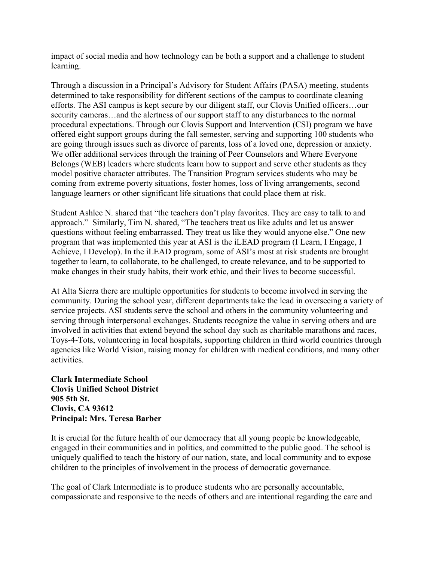impact of social media and how technology can be both a support and a challenge to student learning.

Through a discussion in a Principal's Advisory for Student Affairs (PASA) meeting, students determined to take responsibility for different sections of the campus to coordinate cleaning efforts. The ASI campus is kept secure by our diligent staff, our Clovis Unified officers…our security cameras…and the alertness of our support staff to any disturbances to the normal procedural expectations. Through our Clovis Support and Intervention (CSI) program we have offered eight support groups during the fall semester, serving and supporting 100 students who are going through issues such as divorce of parents, loss of a loved one, depression or anxiety. We offer additional services through the training of Peer Counselors and Where Everyone Belongs (WEB) leaders where students learn how to support and serve other students as they model positive character attributes. The Transition Program services students who may be coming from extreme poverty situations, foster homes, loss of living arrangements, second language learners or other significant life situations that could place them at risk.

Student Ashlee N. shared that "the teachers don't play favorites. They are easy to talk to and approach." Similarly, Tim N. shared, "The teachers treat us like adults and let us answer questions without feeling embarrassed. They treat us like they would anyone else." One new program that was implemented this year at ASI is the iLEAD program (I Learn, I Engage, I Achieve, I Develop). In the iLEAD program, some of ASI's most at risk students are brought together to learn, to collaborate, to be challenged, to create relevance, and to be supported to make changes in their study habits, their work ethic, and their lives to become successful.

At Alta Sierra there are multiple opportunities for students to become involved in serving the community. During the school year, different departments take the lead in overseeing a variety of service projects. ASI students serve the school and others in the community volunteering and serving through interpersonal exchanges. Students recognize the value in serving others and are involved in activities that extend beyond the school day such as charitable marathons and races, Toys-4-Tots, volunteering in local hospitals, supporting children in third world countries through agencies like World Vision, raising money for children with medical conditions, and many other activities.

**Clark Intermediate School Clovis Unified School District 905 5th St. Clovis, CA 93612 Principal: Mrs. Teresa Barber**

It is crucial for the future health of our democracy that all young people be knowledgeable, engaged in their communities and in politics, and committed to the public good. The school is uniquely qualified to teach the history of our nation, state, and local community and to expose children to the principles of involvement in the process of democratic governance.

The goal of Clark Intermediate is to produce students who are personally accountable, compassionate and responsive to the needs of others and are intentional regarding the care and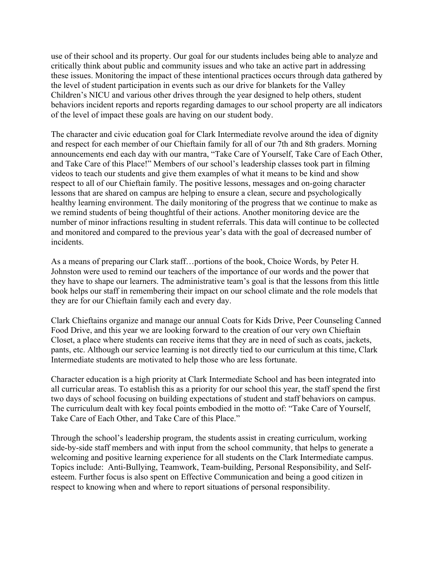use of their school and its property. Our goal for our students includes being able to analyze and critically think about public and community issues and who take an active part in addressing these issues. Monitoring the impact of these intentional practices occurs through data gathered by the level of student participation in events such as our drive for blankets for the Valley Children's NICU and various other drives through the year designed to help others, student behaviors incident reports and reports regarding damages to our school property are all indicators of the level of impact these goals are having on our student body.

The character and civic education goal for Clark Intermediate revolve around the idea of dignity and respect for each member of our Chieftain family for all of our 7th and 8th graders. Morning announcements end each day with our mantra, "Take Care of Yourself, Take Care of Each Other, and Take Care of this Place!" Members of our school's leadership classes took part in filming videos to teach our students and give them examples of what it means to be kind and show respect to all of our Chieftain family. The positive lessons, messages and on-going character lessons that are shared on campus are helping to ensure a clean, secure and psychologically healthy learning environment. The daily monitoring of the progress that we continue to make as we remind students of being thoughtful of their actions. Another monitoring device are the number of minor infractions resulting in student referrals. This data will continue to be collected and monitored and compared to the previous year's data with the goal of decreased number of incidents.

As a means of preparing our Clark staff…portions of the book, Choice Words, by Peter H. Johnston were used to remind our teachers of the importance of our words and the power that they have to shape our learners. The administrative team's goal is that the lessons from this little book helps our staff in remembering their impact on our school climate and the role models that they are for our Chieftain family each and every day.

Clark Chieftains organize and manage our annual Coats for Kids Drive, Peer Counseling Canned Food Drive, and this year we are looking forward to the creation of our very own Chieftain Closet, a place where students can receive items that they are in need of such as coats, jackets, pants, etc. Although our service learning is not directly tied to our curriculum at this time, Clark Intermediate students are motivated to help those who are less fortunate.

Character education is a high priority at Clark Intermediate School and has been integrated into all curricular areas. To establish this as a priority for our school this year, the staff spend the first two days of school focusing on building expectations of student and staff behaviors on campus. The curriculum dealt with key focal points embodied in the motto of: "Take Care of Yourself, Take Care of Each Other, and Take Care of this Place."

Through the school's leadership program, the students assist in creating curriculum, working side-by-side staff members and with input from the school community, that helps to generate a welcoming and positive learning experience for all students on the Clark Intermediate campus. Topics include: Anti-Bullying, Teamwork, Team-building, Personal Responsibility, and Selfesteem. Further focus is also spent on Effective Communication and being a good citizen in respect to knowing when and where to report situations of personal responsibility.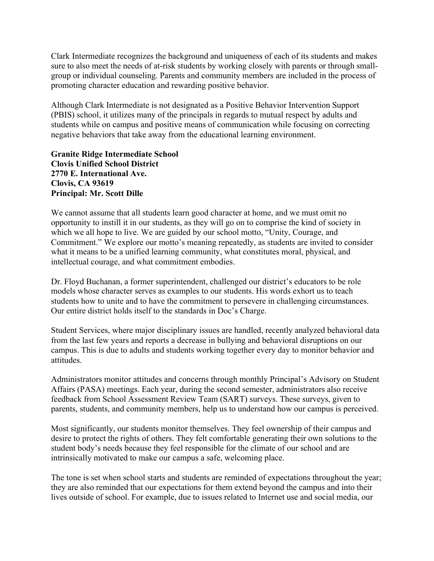Clark Intermediate recognizes the background and uniqueness of each of its students and makes sure to also meet the needs of at-risk students by working closely with parents or through smallgroup or individual counseling. Parents and community members are included in the process of promoting character education and rewarding positive behavior.

Although Clark Intermediate is not designated as a Positive Behavior Intervention Support (PBIS) school, it utilizes many of the principals in regards to mutual respect by adults and students while on campus and positive means of communication while focusing on correcting negative behaviors that take away from the educational learning environment.

**Granite Ridge Intermediate School Clovis Unified School District 2770 E. International Ave. Clovis, CA 93619 Principal: Mr. Scott Dille**

We cannot assume that all students learn good character at home, and we must omit no opportunity to instill it in our students, as they will go on to comprise the kind of society in which we all hope to live. We are guided by our school motto, "Unity, Courage, and Commitment." We explore our motto's meaning repeatedly, as students are invited to consider what it means to be a unified learning community, what constitutes moral, physical, and intellectual courage, and what commitment embodies.

Dr. Floyd Buchanan, a former superintendent, challenged our district's educators to be role models whose character serves as examples to our students. His words exhort us to teach students how to unite and to have the commitment to persevere in challenging circumstances. Our entire district holds itself to the standards in Doc's Charge.

Student Services, where major disciplinary issues are handled, recently analyzed behavioral data from the last few years and reports a decrease in bullying and behavioral disruptions on our campus. This is due to adults and students working together every day to monitor behavior and attitudes.

Administrators monitor attitudes and concerns through monthly Principal's Advisory on Student Affairs (PASA) meetings. Each year, during the second semester, administrators also receive feedback from School Assessment Review Team (SART) surveys. These surveys, given to parents, students, and community members, help us to understand how our campus is perceived.

Most significantly, our students monitor themselves. They feel ownership of their campus and desire to protect the rights of others. They felt comfortable generating their own solutions to the student body's needs because they feel responsible for the climate of our school and are intrinsically motivated to make our campus a safe, welcoming place.

The tone is set when school starts and students are reminded of expectations throughout the year; they are also reminded that our expectations for them extend beyond the campus and into their lives outside of school. For example, due to issues related to Internet use and social media, our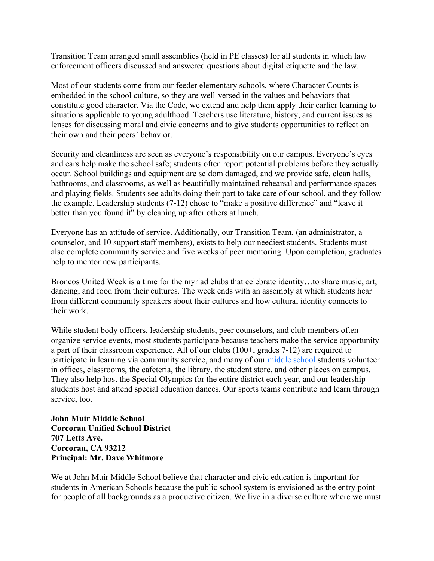Transition Team arranged small assemblies (held in PE classes) for all students in which law enforcement officers discussed and answered questions about digital etiquette and the law.

Most of our students come from our feeder elementary schools, where Character Counts is embedded in the school culture, so they are well-versed in the values and behaviors that constitute good character. Via the Code, we extend and help them apply their earlier learning to situations applicable to young adulthood. Teachers use literature, history, and current issues as lenses for discussing moral and civic concerns and to give students opportunities to reflect on their own and their peers' behavior.

Security and cleanliness are seen as everyone's responsibility on our campus. Everyone's eyes and ears help make the school safe; students often report potential problems before they actually occur. School buildings and equipment are seldom damaged, and we provide safe, clean halls, bathrooms, and classrooms, as well as beautifully maintained rehearsal and performance spaces and playing fields. Students see adults doing their part to take care of our school, and they follow the example. Leadership students (7-12) chose to "make a positive difference" and "leave it better than you found it" by cleaning up after others at lunch.

Everyone has an attitude of service. Additionally, our Transition Team, (an administrator, a counselor, and 10 support staff members), exists to help our neediest students. Students must also complete community service and five weeks of peer mentoring. Upon completion, graduates help to mentor new participants.

Broncos United Week is a time for the myriad clubs that celebrate identity…to share music, art, dancing, and food from their cultures. The week ends with an assembly at which students hear from different community speakers about their cultures and how cultural identity connects to their work.

While student body officers, leadership students, peer counselors, and club members often organize service events, most students participate because teachers make the service opportunity a part of their classroom experience. All of our clubs (100+, grades 7-12) are required to participate in learning via community service, and many of our middle school students volunteer in offices, classrooms, the cafeteria, the library, the student store, and other places on campus. They also help host the Special Olympics for the entire district each year, and our leadership students host and attend special education dances. Our sports teams contribute and learn through service, too.

**John Muir Middle School Corcoran Unified School District 707 Letts Ave. Corcoran, CA 93212 Principal: Mr. Dave Whitmore**

We at John Muir Middle School believe that character and civic education is important for students in American Schools because the public school system is envisioned as the entry point for people of all backgrounds as a productive citizen. We live in a diverse culture where we must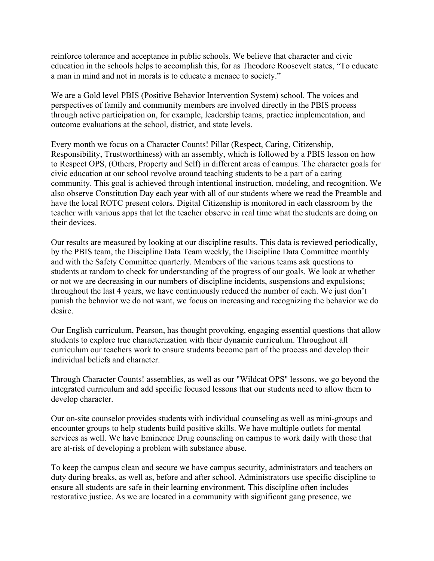reinforce tolerance and acceptance in public schools. We believe that character and civic education in the schools helps to accomplish this, for as Theodore Roosevelt states, "To educate a man in mind and not in morals is to educate a menace to society."

We are a Gold level PBIS (Positive Behavior Intervention System) school. The voices and perspectives of family and community members are involved directly in the PBIS process through active participation on, for example, leadership teams, practice implementation, and outcome evaluations at the school, district, and state levels.

Every month we focus on a Character Counts! Pillar (Respect, Caring, Citizenship, Responsibility, Trustworthiness) with an assembly, which is followed by a PBIS lesson on how to Respect OPS, (Others, Property and Self) in different areas of campus. The character goals for civic education at our school revolve around teaching students to be a part of a caring community. This goal is achieved through intentional instruction, modeling, and recognition. We also observe Constitution Day each year with all of our students where we read the Preamble and have the local ROTC present colors. Digital Citizenship is monitored in each classroom by the teacher with various apps that let the teacher observe in real time what the students are doing on their devices.

Our results are measured by looking at our discipline results. This data is reviewed periodically, by the PBIS team, the Discipline Data Team weekly, the Discipline Data Committee monthly and with the Safety Committee quarterly. Members of the various teams ask questions to students at random to check for understanding of the progress of our goals. We look at whether or not we are decreasing in our numbers of discipline incidents, suspensions and expulsions; throughout the last 4 years, we have continuously reduced the number of each. We just don't punish the behavior we do not want, we focus on increasing and recognizing the behavior we do desire.

Our English curriculum, Pearson, has thought provoking, engaging essential questions that allow students to explore true characterization with their dynamic curriculum. Throughout all curriculum our teachers work to ensure students become part of the process and develop their individual beliefs and character.

Through Character Counts! assemblies, as well as our "Wildcat OPS" lessons, we go beyond the integrated curriculum and add specific focused lessons that our students need to allow them to develop character.

Our on-site counselor provides students with individual counseling as well as mini-groups and encounter groups to help students build positive skills. We have multiple outlets for mental services as well. We have Eminence Drug counseling on campus to work daily with those that are at-risk of developing a problem with substance abuse.

To keep the campus clean and secure we have campus security, administrators and teachers on duty during breaks, as well as, before and after school. Administrators use specific discipline to ensure all students are safe in their learning environment. This discipline often includes restorative justice. As we are located in a community with significant gang presence, we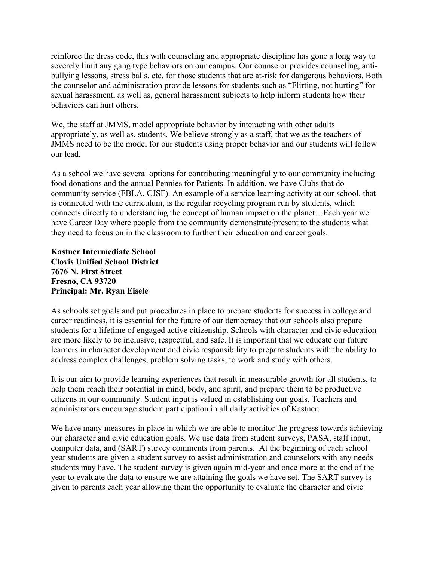reinforce the dress code, this with counseling and appropriate discipline has gone a long way to severely limit any gang type behaviors on our campus. Our counselor provides counseling, antibullying lessons, stress balls, etc. for those students that are at-risk for dangerous behaviors. Both the counselor and administration provide lessons for students such as "Flirting, not hurting" for sexual harassment, as well as, general harassment subjects to help inform students how their behaviors can hurt others.

We, the staff at JMMS, model appropriate behavior by interacting with other adults appropriately, as well as, students. We believe strongly as a staff, that we as the teachers of JMMS need to be the model for our students using proper behavior and our students will follow our lead.

As a school we have several options for contributing meaningfully to our community including food donations and the annual Pennies for Patients. In addition, we have Clubs that do community service (FBLA, CJSF). An example of a service learning activity at our school, that is connected with the curriculum, is the regular recycling program run by students, which connects directly to understanding the concept of human impact on the planet…Each year we have Career Day where people from the community demonstrate/present to the students what they need to focus on in the classroom to further their education and career goals.

**Kastner Intermediate School Clovis Unified School District 7676 N. First Street Fresno, CA 93720 Principal: Mr. Ryan Eisele**

As schools set goals and put procedures in place to prepare students for success in college and career readiness, it is essential for the future of our democracy that our schools also prepare students for a lifetime of engaged active citizenship. Schools with character and civic education are more likely to be inclusive, respectful, and safe. It is important that we educate our future learners in character development and civic responsibility to prepare students with the ability to address complex challenges, problem solving tasks, to work and study with others.

It is our aim to provide learning experiences that result in measurable growth for all students, to help them reach their potential in mind, body, and spirit, and prepare them to be productive citizens in our community. Student input is valued in establishing our goals. Teachers and administrators encourage student participation in all daily activities of Kastner.

We have many measures in place in which we are able to monitor the progress towards achieving our character and civic education goals. We use data from student surveys, PASA, staff input, computer data, and (SART) survey comments from parents. At the beginning of each school year students are given a student survey to assist administration and counselors with any needs students may have. The student survey is given again mid-year and once more at the end of the year to evaluate the data to ensure we are attaining the goals we have set. The SART survey is given to parents each year allowing them the opportunity to evaluate the character and civic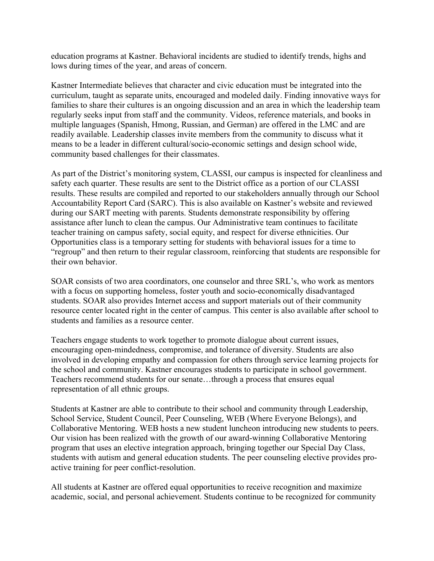education programs at Kastner. Behavioral incidents are studied to identify trends, highs and lows during times of the year, and areas of concern.

Kastner Intermediate believes that character and civic education must be integrated into the curriculum, taught as separate units, encouraged and modeled daily. Finding innovative ways for families to share their cultures is an ongoing discussion and an area in which the leadership team regularly seeks input from staff and the community. Videos, reference materials, and books in multiple languages (Spanish, Hmong, Russian, and German) are offered in the LMC and are readily available. Leadership classes invite members from the community to discuss what it means to be a leader in different cultural/socio-economic settings and design school wide, community based challenges for their classmates.

As part of the District's monitoring system, CLASSI, our campus is inspected for cleanliness and safety each quarter. These results are sent to the District office as a portion of our CLASSI results. These results are compiled and reported to our stakeholders annually through our School Accountability Report Card (SARC). This is also available on Kastner's website and reviewed during our SART meeting with parents. Students demonstrate responsibility by offering assistance after lunch to clean the campus. Our Administrative team continues to facilitate teacher training on campus safety, social equity, and respect for diverse ethnicities. Our Opportunities class is a temporary setting for students with behavioral issues for a time to "regroup" and then return to their regular classroom, reinforcing that students are responsible for their own behavior.

SOAR consists of two area coordinators, one counselor and three SRL's, who work as mentors with a focus on supporting homeless, foster youth and socio-economically disadvantaged students. SOAR also provides Internet access and support materials out of their community resource center located right in the center of campus. This center is also available after school to students and families as a resource center.

Teachers engage students to work together to promote dialogue about current issues, encouraging open-mindedness, compromise, and tolerance of diversity. Students are also involved in developing empathy and compassion for others through service learning projects for the school and community. Kastner encourages students to participate in school government. Teachers recommend students for our senate…through a process that ensures equal representation of all ethnic groups.

Students at Kastner are able to contribute to their school and community through Leadership, School Service, Student Council, Peer Counseling, WEB (Where Everyone Belongs), and Collaborative Mentoring. WEB hosts a new student luncheon introducing new students to peers. Our vision has been realized with the growth of our award-winning Collaborative Mentoring program that uses an elective integration approach, bringing together our Special Day Class, students with autism and general education students. The peer counseling elective provides proactive training for peer conflict-resolution.

All students at Kastner are offered equal opportunities to receive recognition and maximize academic, social, and personal achievement. Students continue to be recognized for community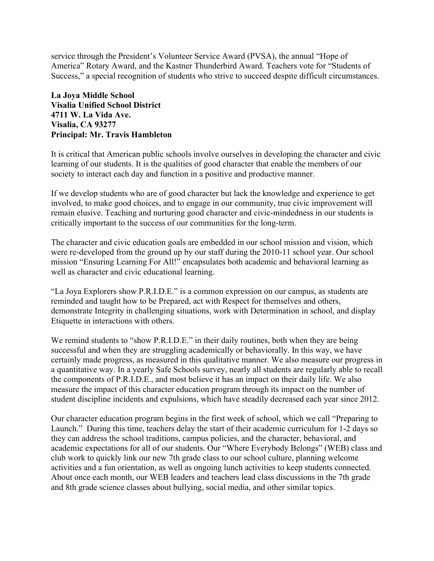service through the President's Volunteer Service Award (PVSA), the annual "Hope of America" Rotary Award, and the Kastner Thunderbird Award. Teachers vote for "Students of Success," a special recognition of students who strive to succeed despite difficult circumstances.

## **La Joya Middle School Visalia Unified School District 4711 W. La Vida Ave. Visalia, CA 93277 Principal: Mr. Travis Hambleton**

It is critical that American public schools involve ourselves in developing the character and civic learning of our students. It is the qualities of good character that enable the members of our society to interact each day and function in a positive and productive manner.

If we develop students who are of good character but lack the knowledge and experience to get involved, to make good choices, and to engage in our community, true civic improvement will remain elusive. Teaching and nurturing good character and civic-mindedness in our students is critically important to the success of our communities for the long-term.

The character and civic education goals are embedded in our school mission and vision, which were re-developed from the ground up by our staff during the 2010-11 school year. Our school mission "Ensuring Learning For All!" encapsulates both academic and behavioral learning as well as character and civic educational learning.

"La Joya Explorers show P.R.I.D.E." is a common expression on our campus, as students are reminded and taught how to be Prepared, act with Respect for themselves and others, demonstrate Integrity in challenging situations, work with Determination in school, and display Etiquette in interactions with others.

We remind students to "show P.R.I.D.E." in their daily routines, both when they are being successful and when they are struggling academically or behaviorally. In this way, we have certainly made progress, as measured in this qualitative manner. We also measure our progress in a quantitative way. In a yearly Safe Schools survey, nearly all students are regularly able to recall the components of P.R.I.D.E., and most believe it has an impact on their daily life. We also measure the impact of this character education program through its impact on the number of student discipline incidents and expulsions, which have steadily decreased each year since 2012.

Our character education program begins in the first week of school, which we call "Preparing to Launch." During this time, teachers delay the start of their academic curriculum for 1-2 days so they can address the school traditions, campus policies, and the character, behavioral, and academic expectations for all of our students. Our "Where Everybody Belongs" (WEB) class and club work to quickly link our new 7th grade class to our school culture, planning welcome activities and a fun orientation, as well as ongoing lunch activities to keep students connected. About once each month, our WEB leaders and teachers lead class discussions in the 7th grade and 8th grade science classes about bullying, social media, and other similar topics.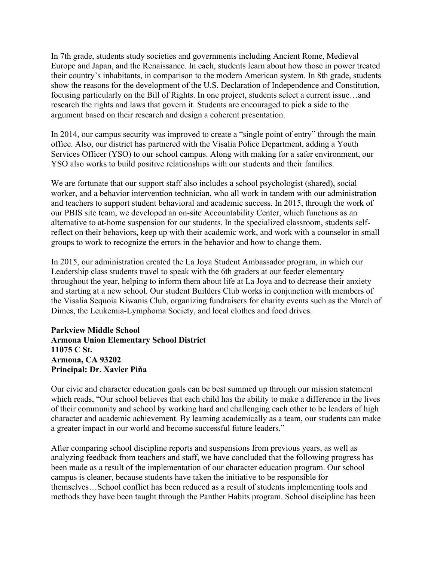In 7th grade, students study societies and governments including Ancient Rome, Medieval Europe and Japan, and the Renaissance. In each, students learn about how those in power treated their country's inhabitants, in comparison to the modern American system. In 8th grade, students show the reasons for the development of the U.S. Declaration of Independence and Constitution, focusing particularly on the Bill of Rights. In one project, students select a current issue…and research the rights and laws that govern it. Students are encouraged to pick a side to the argument based on their research and design a coherent presentation.

In 2014, our campus security was improved to create a "single point of entry" through the main office. Also, our district has partnered with the Visalia Police Department, adding a Youth Services Officer (YSO) to our school campus. Along with making for a safer environment, our YSO also works to build positive relationships with our students and their families.

We are fortunate that our support staff also includes a school psychologist (shared), social worker, and a behavior intervention technician, who all work in tandem with our administration and teachers to support student behavioral and academic success. In 2015, through the work of our PBIS site team, we developed an on-site Accountability Center, which functions as an alternative to at-home suspension for our students. In the specialized classroom, students selfreflect on their behaviors, keep up with their academic work, and work with a counselor in small groups to work to recognize the errors in the behavior and how to change them.

In 2015, our administration created the La Joya Student Ambassador program, in which our Leadership class students travel to speak with the 6th graders at our feeder elementary throughout the year, helping to inform them about life at La Joya and to decrease their anxiety and starting at a new school. Our student Builders Club works in conjunction with members of the Visalia Sequoia Kiwanis Club, organizing fundraisers for charity events such as the March of Dimes, the Leukemia-Lymphoma Society, and local clothes and food drives.

**Parkview Middle School Armona Union Elementary School District 11075 C St. Armona, CA 93202 Principal: Dr. Xavier Piña**

Our civic and character education goals can be best summed up through our mission statement which reads, "Our school believes that each child has the ability to make a difference in the lives of their community and school by working hard and challenging each other to be leaders of high character and academic achievement. By learning academically as a team, our students can make a greater impact in our world and become successful future leaders."

After comparing school discipline reports and suspensions from previous years, as well as analyzing feedback from teachers and staff, we have concluded that the following progress has been made as a result of the implementation of our character education program. Our school campus is cleaner, because students have taken the initiative to be responsible for themselves…School conflict has been reduced as a result of students implementing tools and methods they have been taught through the Panther Habits program. School discipline has been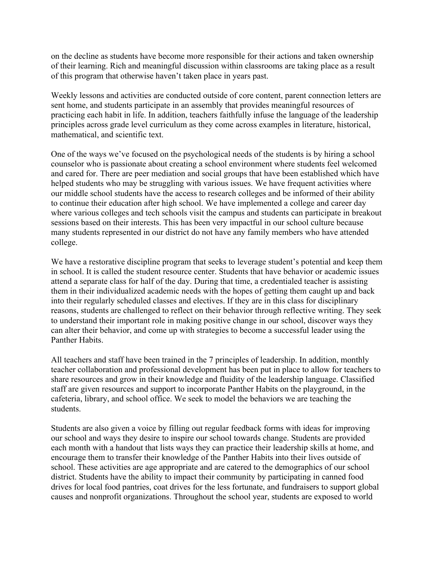on the decline as students have become more responsible for their actions and taken ownership of their learning. Rich and meaningful discussion within classrooms are taking place as a result of this program that otherwise haven't taken place in years past.

Weekly lessons and activities are conducted outside of core content, parent connection letters are sent home, and students participate in an assembly that provides meaningful resources of practicing each habit in life. In addition, teachers faithfully infuse the language of the leadership principles across grade level curriculum as they come across examples in literature, historical, mathematical, and scientific text.

One of the ways we've focused on the psychological needs of the students is by hiring a school counselor who is passionate about creating a school environment where students feel welcomed and cared for. There are peer mediation and social groups that have been established which have helped students who may be struggling with various issues. We have frequent activities where our middle school students have the access to research colleges and be informed of their ability to continue their education after high school. We have implemented a college and career day where various colleges and tech schools visit the campus and students can participate in breakout sessions based on their interests. This has been very impactful in our school culture because many students represented in our district do not have any family members who have attended college.

We have a restorative discipline program that seeks to leverage student's potential and keep them in school. It is called the student resource center. Students that have behavior or academic issues attend a separate class for half of the day. During that time, a credentialed teacher is assisting them in their individualized academic needs with the hopes of getting them caught up and back into their regularly scheduled classes and electives. If they are in this class for disciplinary reasons, students are challenged to reflect on their behavior through reflective writing. They seek to understand their important role in making positive change in our school, discover ways they can alter their behavior, and come up with strategies to become a successful leader using the Panther Habits.

All teachers and staff have been trained in the 7 principles of leadership. In addition, monthly teacher collaboration and professional development has been put in place to allow for teachers to share resources and grow in their knowledge and fluidity of the leadership language. Classified staff are given resources and support to incorporate Panther Habits on the playground, in the cafeteria, library, and school office. We seek to model the behaviors we are teaching the students.

Students are also given a voice by filling out regular feedback forms with ideas for improving our school and ways they desire to inspire our school towards change. Students are provided each month with a handout that lists ways they can practice their leadership skills at home, and encourage them to transfer their knowledge of the Panther Habits into their lives outside of school. These activities are age appropriate and are catered to the demographics of our school district. Students have the ability to impact their community by participating in canned food drives for local food pantries, coat drives for the less fortunate, and fundraisers to support global causes and nonprofit organizations. Throughout the school year, students are exposed to world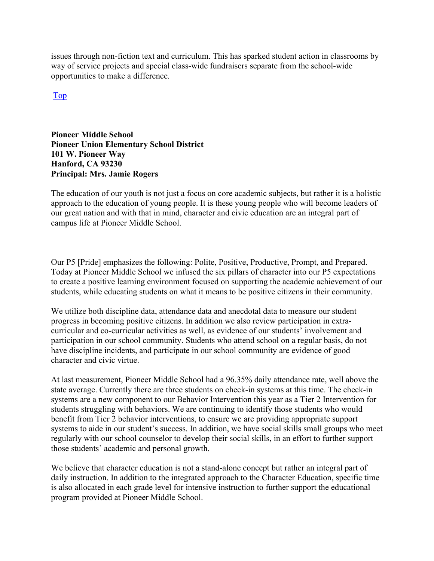issues through non-fiction text and curriculum. This has sparked student action in classrooms by way of service projects and special class-wide fundraisers separate from the school-wide opportunities to make a difference.

Top

**Pioneer Middle School Pioneer Union Elementary School District 101 W. Pioneer Way Hanford, CA 93230 Principal: Mrs. Jamie Rogers**

The education of our youth is not just a focus on core academic subjects, but rather it is a holistic approach to the education of young people. It is these young people who will become leaders of our great nation and with that in mind, character and civic education are an integral part of campus life at Pioneer Middle School.

Our P5 [Pride] emphasizes the following: Polite, Positive, Productive, Prompt, and Prepared. Today at Pioneer Middle School we infused the six pillars of character into our P5 expectations to create a positive learning environment focused on supporting the academic achievement of our students, while educating students on what it means to be positive citizens in their community.

We utilize both discipline data, attendance data and anecdotal data to measure our student progress in becoming positive citizens. In addition we also review participation in extracurricular and co-curricular activities as well, as evidence of our students' involvement and participation in our school community. Students who attend school on a regular basis, do not have discipline incidents, and participate in our school community are evidence of good character and civic virtue.

At last measurement, Pioneer Middle School had a 96.35% daily attendance rate, well above the state average. Currently there are three students on check-in systems at this time. The check-in systems are a new component to our Behavior Intervention this year as a Tier 2 Intervention for students struggling with behaviors. We are continuing to identify those students who would benefit from Tier 2 behavior interventions, to ensure we are providing appropriate support systems to aide in our student's success. In addition, we have social skills small groups who meet regularly with our school counselor to develop their social skills, in an effort to further support those students' academic and personal growth.

We believe that character education is not a stand-alone concept but rather an integral part of daily instruction. In addition to the integrated approach to the Character Education, specific time is also allocated in each grade level for intensive instruction to further support the educational program provided at Pioneer Middle School.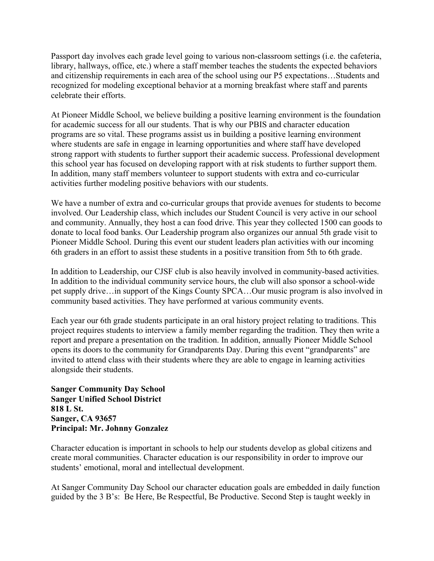Passport day involves each grade level going to various non-classroom settings (i.e. the cafeteria, library, hallways, office, etc.) where a staff member teaches the students the expected behaviors and citizenship requirements in each area of the school using our P5 expectations…Students and recognized for modeling exceptional behavior at a morning breakfast where staff and parents celebrate their efforts.

At Pioneer Middle School, we believe building a positive learning environment is the foundation for academic success for all our students. That is why our PBIS and character education programs are so vital. These programs assist us in building a positive learning environment where students are safe in engage in learning opportunities and where staff have developed strong rapport with students to further support their academic success. Professional development this school year has focused on developing rapport with at risk students to further support them. In addition, many staff members volunteer to support students with extra and co-curricular activities further modeling positive behaviors with our students.

We have a number of extra and co-curricular groups that provide avenues for students to become involved. Our Leadership class, which includes our Student Council is very active in our school and community. Annually, they host a can food drive. This year they collected 1500 can goods to donate to local food banks. Our Leadership program also organizes our annual 5th grade visit to Pioneer Middle School. During this event our student leaders plan activities with our incoming 6th graders in an effort to assist these students in a positive transition from 5th to 6th grade.

In addition to Leadership, our CJSF club is also heavily involved in community-based activities. In addition to the individual community service hours, the club will also sponsor a school-wide pet supply drive…in support of the Kings County SPCA…Our music program is also involved in community based activities. They have performed at various community events.

Each year our 6th grade students participate in an oral history project relating to traditions. This project requires students to interview a family member regarding the tradition. They then write a report and prepare a presentation on the tradition. In addition, annually Pioneer Middle School opens its doors to the community for Grandparents Day. During this event "grandparents" are invited to attend class with their students where they are able to engage in learning activities alongside their students.

**Sanger Community Day School Sanger Unified School District 818 L St. Sanger, CA 93657 Principal: Mr. Johnny Gonzalez**

Character education is important in schools to help our students develop as global citizens and create moral communities. Character education is our responsibility in order to improve our students' emotional, moral and intellectual development.

At Sanger Community Day School our character education goals are embedded in daily function guided by the 3 B's: Be Here, Be Respectful, Be Productive. Second Step is taught weekly in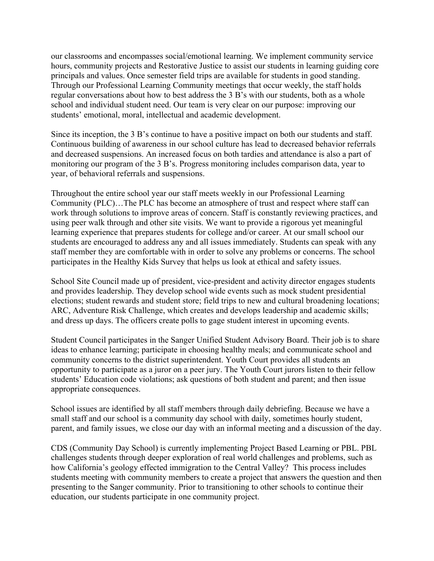our classrooms and encompasses social/emotional learning. We implement community service hours, community projects and Restorative Justice to assist our students in learning guiding core principals and values. Once semester field trips are available for students in good standing. Through our Professional Learning Community meetings that occur weekly, the staff holds regular conversations about how to best address the 3 B's with our students, both as a whole school and individual student need. Our team is very clear on our purpose: improving our students' emotional, moral, intellectual and academic development.

Since its inception, the 3 B's continue to have a positive impact on both our students and staff. Continuous building of awareness in our school culture has lead to decreased behavior referrals and decreased suspensions. An increased focus on both tardies and attendance is also a part of monitoring our program of the 3 B's. Progress monitoring includes comparison data, year to year, of behavioral referrals and suspensions.

Throughout the entire school year our staff meets weekly in our Professional Learning Community (PLC)…The PLC has become an atmosphere of trust and respect where staff can work through solutions to improve areas of concern. Staff is constantly reviewing practices, and using peer walk through and other site visits. We want to provide a rigorous yet meaningful learning experience that prepares students for college and/or career. At our small school our students are encouraged to address any and all issues immediately. Students can speak with any staff member they are comfortable with in order to solve any problems or concerns. The school participates in the Healthy Kids Survey that helps us look at ethical and safety issues.

School Site Council made up of president, vice-president and activity director engages students and provides leadership. They develop school wide events such as mock student presidential elections; student rewards and student store; field trips to new and cultural broadening locations; ARC, Adventure Risk Challenge, which creates and develops leadership and academic skills; and dress up days. The officers create polls to gage student interest in upcoming events.

Student Council participates in the Sanger Unified Student Advisory Board. Their job is to share ideas to enhance learning; participate in choosing healthy meals; and communicate school and community concerns to the district superintendent. Youth Court provides all students an opportunity to participate as a juror on a peer jury. The Youth Court jurors listen to their fellow students' Education code violations; ask questions of both student and parent; and then issue appropriate consequences.

School issues are identified by all staff members through daily debriefing. Because we have a small staff and our school is a community day school with daily, sometimes hourly student, parent, and family issues, we close our day with an informal meeting and a discussion of the day.

CDS (Community Day School) is currently implementing Project Based Learning or PBL. PBL challenges students through deeper exploration of real world challenges and problems, such as how California's geology effected immigration to the Central Valley? This process includes students meeting with community members to create a project that answers the question and then presenting to the Sanger community. Prior to transitioning to other schools to continue their education, our students participate in one community project.